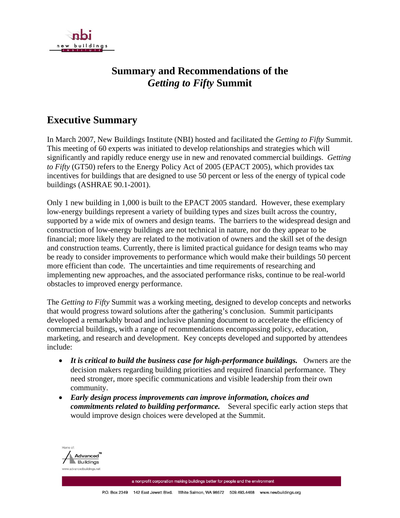

## **Summary and Recommendations of the**  *Getting to Fifty* **Summit**

## **Executive Summary**

In March 2007, New Buildings Institute (NBI) hosted and facilitated the *Getting to Fifty* Summit. This meeting of 60 experts was initiated to develop relationships and strategies which will significantly and rapidly reduce energy use in new and renovated commercial buildings. *Getting to Fifty* (GT50) refers to the Energy Policy Act of 2005 (EPACT 2005), which provides tax incentives for buildings that are designed to use 50 percent or less of the energy of typical code buildings (ASHRAE 90.1-2001).

Only 1 new building in 1,000 is built to the EPACT 2005 standard. However, these exemplary low-energy buildings represent a variety of building types and sizes built across the country, supported by a wide mix of owners and design teams. The barriers to the widespread design and construction of low-energy buildings are not technical in nature, nor do they appear to be financial; more likely they are related to the motivation of owners and the skill set of the design and construction teams. Currently, there is limited practical guidance for design teams who may be ready to consider improvements to performance which would make their buildings 50 percent more efficient than code. The uncertainties and time requirements of researching and implementing new approaches, and the associated performance risks, continue to be real-world obstacles to improved energy performance.

The *Getting to Fifty* Summit was a working meeting, designed to develop concepts and networks that would progress toward solutions after the gathering's conclusion. Summit participants developed a remarkably broad and inclusive planning document to accelerate the efficiency of commercial buildings, with a range of recommendations encompassing policy, education, marketing, and research and development. Key concepts developed and supported by attendees include:

- *It is critical to build the business case for high-performance buildings.* Owners are the decision makers regarding building priorities and required financial performance. They need stronger, more specific communications and visible leadership from their own community.
- *Early design process improvements can improve information, choices and commitments related to building performance.* Several specific early action steps that would improve design choices were developed at the Summit.

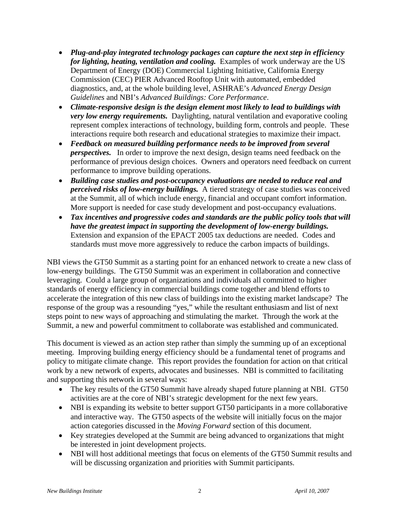- *Plug-and-play integrated technology packages can capture the next step in efficiency for lighting, heating, ventilation and cooling.* Examples of work underway are the US Department of Energy (DOE) Commercial Lighting Initiative, California Energy Commission (CEC) PIER Advanced Rooftop Unit with automated, embedded diagnostics, and, at the whole building level, ASHRAE's *Advanced Energy Design Guidelines* and NBI's *Advanced Buildings: Core Performance*.
- *Climate-responsive design is the design element most likely to lead to buildings with very low energy requirements.* Daylighting, natural ventilation and evaporative cooling represent complex interactions of technology, building form, controls and people. These interactions require both research and educational strategies to maximize their impact.
- *Feedback on measured building performance needs to be improved from several perspectives.* In order to improve the next design, design teams need feedback on the performance of previous design choices. Owners and operators need feedback on current performance to improve building operations.
- *Building case studies and post-occupancy evaluations are needed to reduce real and perceived risks of low-energy buildings.* A tiered strategy of case studies was conceived at the Summit, all of which include energy, financial and occupant comfort information. More support is needed for case study development and post-occupancy evaluations.
- *Tax incentives and progressive codes and standards are the public policy tools that will have the greatest impact in supporting the development of low-energy buildings.* Extension and expansion of the EPACT 2005 tax deductions are needed. Codes and standards must move more aggressively to reduce the carbon impacts of buildings.

NBI views the GT50 Summit as a starting point for an enhanced network to create a new class of low-energy buildings. The GT50 Summit was an experiment in collaboration and connective leveraging. Could a large group of organizations and individuals all committed to higher standards of energy efficiency in commercial buildings come together and blend efforts to accelerate the integration of this new class of buildings into the existing market landscape? The response of the group was a resounding "yes," while the resultant enthusiasm and list of next steps point to new ways of approaching and stimulating the market. Through the work at the Summit, a new and powerful commitment to collaborate was established and communicated.

This document is viewed as an action step rather than simply the summing up of an exceptional meeting. Improving building energy efficiency should be a fundamental tenet of programs and policy to mitigate climate change. This report provides the foundation for action on that critical work by a new network of experts, advocates and businesses. NBI is committed to facilitating and supporting this network in several ways:

- The key results of the GT50 Summit have already shaped future planning at NBI. GT50 activities are at the core of NBI's strategic development for the next few years.
- NBI is expanding its website to better support GT50 participants in a more collaborative and interactive way. The GT50 aspects of the website will initially focus on the major action categories discussed in the *Moving Forward* section of this document.
- Key strategies developed at the Summit are being advanced to organizations that might be interested in joint development projects.
- NBI will host additional meetings that focus on elements of the GT50 Summit results and will be discussing organization and priorities with Summit participants.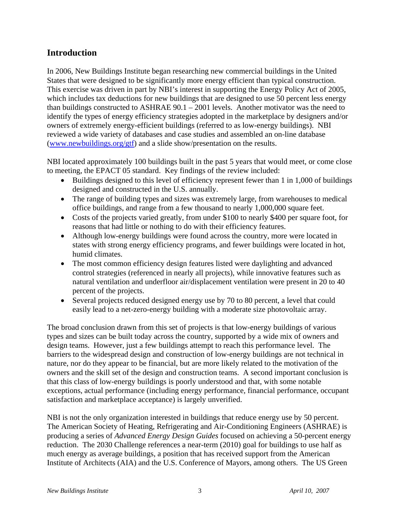## **Introduction**

In 2006, New Buildings Institute began researching new commercial buildings in the United States that were designed to be significantly more energy efficient than typical construction. This exercise was driven in part by NBI's interest in supporting the Energy Policy Act of 2005, which includes tax deductions for new buildings that are designed to use 50 percent less energy than buildings constructed to ASHRAE 90.1 – 2001 levels. Another motivator was the need to identify the types of energy efficiency strategies adopted in the marketplace by designers and/or owners of extremely energy-efficient buildings (referred to as low-energy buildings). NBI reviewed a wide variety of databases and case studies and assembled an on-line database (www.newbuildings.org/gtf) and a slide show/presentation on the results.

NBI located approximately 100 buildings built in the past 5 years that would meet, or come close to meeting, the EPACT 05 standard. Key findings of the review included:

- Buildings designed to this level of efficiency represent fewer than 1 in 1,000 of buildings designed and constructed in the U.S. annually.
- The range of building types and sizes was extremely large, from warehouses to medical office buildings, and range from a few thousand to nearly 1,000,000 square feet.
- Costs of the projects varied greatly, from under \$100 to nearly \$400 per square foot, for reasons that had little or nothing to do with their efficiency features.
- Although low-energy buildings were found across the country, more were located in states with strong energy efficiency programs, and fewer buildings were located in hot, humid climates.
- The most common efficiency design features listed were daylighting and advanced control strategies (referenced in nearly all projects), while innovative features such as natural ventilation and underfloor air/displacement ventilation were present in 20 to 40 percent of the projects.
- Several projects reduced designed energy use by 70 to 80 percent, a level that could easily lead to a net-zero-energy building with a moderate size photovoltaic array.

The broad conclusion drawn from this set of projects is that low-energy buildings of various types and sizes can be built today across the country, supported by a wide mix of owners and design teams. However, just a few buildings attempt to reach this performance level. The barriers to the widespread design and construction of low-energy buildings are not technical in nature, nor do they appear to be financial, but are more likely related to the motivation of the owners and the skill set of the design and construction teams. A second important conclusion is that this class of low-energy buildings is poorly understood and that, with some notable exceptions, actual performance (including energy performance, financial performance, occupant satisfaction and marketplace acceptance) is largely unverified.

NBI is not the only organization interested in buildings that reduce energy use by 50 percent. The American Society of Heating, Refrigerating and Air-Conditioning Engineers (ASHRAE) is producing a series of *Advanced Energy Design Guides* focused on achieving a 50-percent energy reduction. The 2030 Challenge references a near-term (2010) goal for buildings to use half as much energy as average buildings, a position that has received support from the American Institute of Architects (AIA) and the U.S. Conference of Mayors, among others. The US Green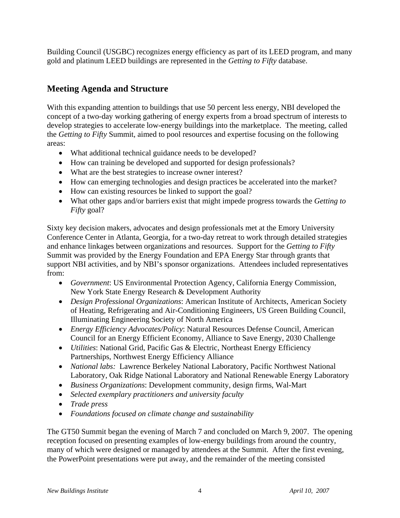Building Council (USGBC) recognizes energy efficiency as part of its LEED program, and many gold and platinum LEED buildings are represented in the *Getting to Fifty* database.

## **Meeting Agenda and Structure**

With this expanding attention to buildings that use 50 percent less energy, NBI developed the concept of a two-day working gathering of energy experts from a broad spectrum of interests to develop strategies to accelerate low-energy buildings into the marketplace. The meeting, called the *Getting to Fifty* Summit, aimed to pool resources and expertise focusing on the following areas:

- What additional technical guidance needs to be developed?
- How can training be developed and supported for design professionals?
- What are the best strategies to increase owner interest?
- How can emerging technologies and design practices be accelerated into the market?
- How can existing resources be linked to support the goal?
- What other gaps and/or barriers exist that might impede progress towards the *Getting to Fifty* goal?

Sixty key decision makers, advocates and design professionals met at the Emory University Conference Center in Atlanta, Georgia, for a two-day retreat to work through detailed strategies and enhance linkages between organizations and resources. Support for the *Getting to Fifty* Summit was provided by the Energy Foundation and EPA Energy Star through grants that support NBI activities, and by NBI's sponsor organizations. Attendees included representatives from:

- *Government*: US Environmental Protection Agency, California Energy Commission, New York State Energy Research & Development Authority
- *Design Professional Organizations*: American Institute of Architects, American Society of Heating, Refrigerating and Air-Conditioning Engineers, US Green Building Council, Illuminating Engineering Society of North America
- *Energy Efficiency Advocates/Policy*: Natural Resources Defense Council, American Council for an Energy Efficient Economy, Alliance to Save Energy, 2030 Challenge
- *Utilities*: National Grid, Pacific Gas & Electric, Northeast Energy Efficiency Partnerships, Northwest Energy Efficiency Alliance
- *National labs:* Lawrence Berkeley National Laboratory, Pacific Northwest National Laboratory, Oak Ridge National Laboratory and National Renewable Energy Laboratory
- *Business Organizations*: Development community, design firms, Wal-Mart
- *Selected exemplary practitioners and university faculty*
- *Trade press*
- *Foundations focused on climate change and sustainability*

The GT50 Summit began the evening of March 7 and concluded on March 9, 2007. The opening reception focused on presenting examples of low-energy buildings from around the country, many of which were designed or managed by attendees at the Summit. After the first evening, the PowerPoint presentations were put away, and the remainder of the meeting consisted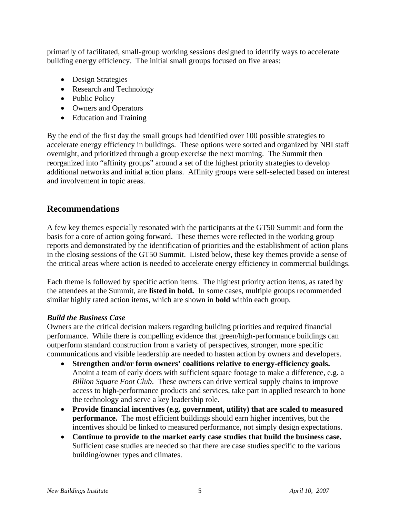primarily of facilitated, small-group working sessions designed to identify ways to accelerate building energy efficiency. The initial small groups focused on five areas:

- Design Strategies
- Research and Technology
- Public Policy
- Owners and Operators
- Education and Training

By the end of the first day the small groups had identified over 100 possible strategies to accelerate energy efficiency in buildings. These options were sorted and organized by NBI staff overnight, and prioritized through a group exercise the next morning. The Summit then reorganized into "affinity groups" around a set of the highest priority strategies to develop additional networks and initial action plans. Affinity groups were self-selected based on interest and involvement in topic areas.

### **Recommendations**

A few key themes especially resonated with the participants at the GT50 Summit and form the basis for a core of action going forward. These themes were reflected in the working group reports and demonstrated by the identification of priorities and the establishment of action plans in the closing sessions of the GT50 Summit. Listed below, these key themes provide a sense of the critical areas where action is needed to accelerate energy efficiency in commercial buildings.

Each theme is followed by specific action items. The highest priority action items, as rated by the attendees at the Summit, are **listed in bold.** In some cases, multiple groups recommended similar highly rated action items, which are shown in **bold** within each group.

#### *Build the Business Case*

Owners are the critical decision makers regarding building priorities and required financial performance. While there is compelling evidence that green/high-performance buildings can outperform standard construction from a variety of perspectives, stronger, more specific communications and visible leadership are needed to hasten action by owners and developers.

- **Strengthen and/or form owners' coalitions relative to energy-efficiency goals.** Anoint a team of early doers with sufficient square footage to make a difference, e.g. a *Billion Square Foot Club*. These owners can drive vertical supply chains to improve access to high-performance products and services, take part in applied research to hone the technology and serve a key leadership role.
- **Provide financial incentives (e.g. government, utility) that are scaled to measured performance.** The most efficient buildings should earn higher incentives, but the incentives should be linked to measured performance, not simply design expectations.
- **Continue to provide to the market early case studies that build the business case.** Sufficient case studies are needed so that there are case studies specific to the various building/owner types and climates.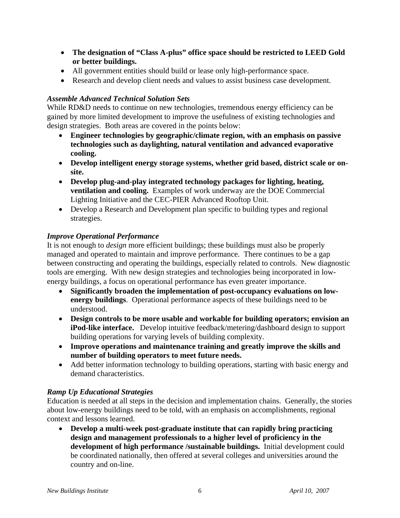- **The designation of "Class A-plus" office space should be restricted to LEED Gold or better buildings.**
- All government entities should build or lease only high-performance space.
- Research and develop client needs and values to assist business case development.

#### *Assemble Advanced Technical Solution Sets*

While RD&D needs to continue on new technologies, tremendous energy efficiency can be gained by more limited development to improve the usefulness of existing technologies and design strategies. Both areas are covered in the points below:

- **Engineer technologies by geographic/climate region, with an emphasis on passive technologies such as daylighting, natural ventilation and advanced evaporative cooling.**
- **Develop intelligent energy storage systems, whether grid based, district scale or onsite.**
- **Develop plug-and-play integrated technology packages for lighting, heating, ventilation and cooling.** Examples of work underway are the DOE Commercial Lighting Initiative and the CEC-PIER Advanced Rooftop Unit.
- Develop a Research and Development plan specific to building types and regional strategies.

#### *Improve Operational Performance*

It is not enough to *design* more efficient buildings; these buildings must also be properly managed and operated to maintain and improve performance. There continues to be a gap between constructing and operating the buildings, especially related to controls. New diagnostic tools are emerging. With new design strategies and technologies being incorporated in lowenergy buildings, a focus on operational performance has even greater importance.

- **Significantly broaden the implementation of post-occupancy evaluations on lowenergy buildings**. Operational performance aspects of these buildings need to be understood.
- **Design controls to be more usable and workable for building operators; envision an iPod-like interface.** Develop intuitive feedback/metering/dashboard design to support building operations for varying levels of building complexity.
- **Improve operations and maintenance training and greatly improve the skills and number of building operators to meet future needs.**
- Add better information technology to building operations, starting with basic energy and demand characteristics.

#### *Ramp Up Educational Strategies*

Education is needed at all steps in the decision and implementation chains. Generally, the stories about low-energy buildings need to be told, with an emphasis on accomplishments, regional context and lessons learned.

• **Develop a multi-week post-graduate institute that can rapidly bring practicing design and management professionals to a higher level of proficiency in the development of high performance /sustainable buildings.** Initial development could be coordinated nationally, then offered at several colleges and universities around the country and on-line.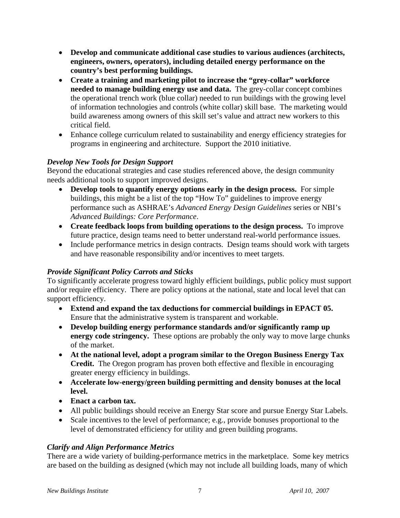- **Develop and communicate additional case studies to various audiences (architects, engineers, owners, operators), including detailed energy performance on the country's best performing buildings.**
- **Create a training and marketing pilot to increase the "grey-collar" workforce needed to manage building energy use and data.** The grey-collar concept combines the operational trench work (blue collar) needed to run buildings with the growing level of information technologies and controls (white collar) skill base. The marketing would build awareness among owners of this skill set's value and attract new workers to this critical field.
- Enhance college curriculum related to sustainability and energy efficiency strategies for programs in engineering and architecture. Support the 2010 initiative.

#### *Develop New Tools for Design Support*

Beyond the educational strategies and case studies referenced above, the design community needs additional tools to support improved designs.

- **Develop tools to quantify energy options early in the design process.** For simple buildings, this might be a list of the top "How To" guidelines to improve energy performance such as ASHRAE's *Advanced Energy Design Guidelines* series or NBI's *Advanced Buildings: Core Performance*.
- **Create feedback loops from building operations to the design process.** To improve future practice, design teams need to better understand real-world performance issues.
- Include performance metrics in design contracts. Design teams should work with targets and have reasonable responsibility and/or incentives to meet targets.

#### *Provide Significant Policy Carrots and Sticks*

To significantly accelerate progress toward highly efficient buildings, public policy must support and/or require efficiency. There are policy options at the national, state and local level that can support efficiency.

- **Extend and expand the tax deductions for commercial buildings in EPACT 05.** Ensure that the administrative system is transparent and workable.
- **Develop building energy performance standards and/or significantly ramp up energy code stringency.** These options are probably the only way to move large chunks of the market.
- **At the national level, adopt a program similar to the Oregon Business Energy Tax Credit.** The Oregon program has proven both effective and flexible in encouraging greater energy efficiency in buildings.
- **Accelerate low-energy/green building permitting and density bonuses at the local level.**
- **Enact a carbon tax.**
- All public buildings should receive an Energy Star score and pursue Energy Star Labels.
- Scale incentives to the level of performance; e.g., provide bonuses proportional to the level of demonstrated efficiency for utility and green building programs.

#### *Clarify and Align Performance Metrics*

There are a wide variety of building-performance metrics in the marketplace. Some key metrics are based on the building as designed (which may not include all building loads, many of which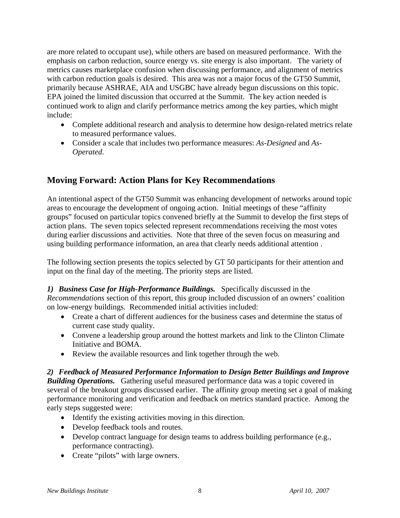are more related to occupant use), while others are based on measured performance. With the emphasis on carbon reduction, source energy vs. site energy is also important. The variety of metrics causes marketplace confusion when discussing performance, and alignment of metrics with carbon reduction goals is desired. This area was not a major focus of the GT50 Summit, primarily because ASHRAE, AIA and USGBC have already begun discussions on this topic. EPA joined the limited discussion that occurred at the Summit. The key action needed is continued work to align and clarify performance metrics among the key parties, which might include:

- Complete additional research and analysis to determine how design-related metrics relate to measured performance values.
- Consider a scale that includes two performance measures: *As-Designed* and *As-Operated*.

## **Moving Forward: Action Plans for Key Recommendations**

An intentional aspect of the GT50 Summit was enhancing development of networks around topic areas to encourage the development of ongoing action. Initial meetings of these "affinity groups" focused on particular topics convened briefly at the Summit to develop the first steps of action plans. The seven topics selected represent recommendations receiving the most votes during earlier discussions and activities. Note that three of the seven focus on measuring and using building performance information, an area that clearly needs additional attention .

The following section presents the topics selected by GT 50 participants for their attention and input on the final day of the meeting. The priority steps are listed.

*1) Business Case for High-Performance Buildings.* Specifically discussed in the *Recommendations* section of this report, this group included discussion of an owners' coalition on low-energy buildings. Recommended initial activities included:

- Create a chart of different audiences for the business cases and determine the status of current case study quality.
- Convene a leadership group around the hottest markets and link to the Clinton Climate Initiative and BOMA.
- Review the available resources and link together through the web.

*2) Feedback of Measured Performance Information to Design Better Buildings and Improve Building Operations.* Gathering useful measured performance data was a topic covered in several of the breakout groups discussed earlier. The affinity group meeting set a goal of making performance monitoring and verification and feedback on metrics standard practice. Among the early steps suggested were:

- Identify the existing activities moving in this direction.
- Develop feedback tools and routes.
- Develop contract language for design teams to address building performance (e.g., performance contracting).
- Create "pilots" with large owners.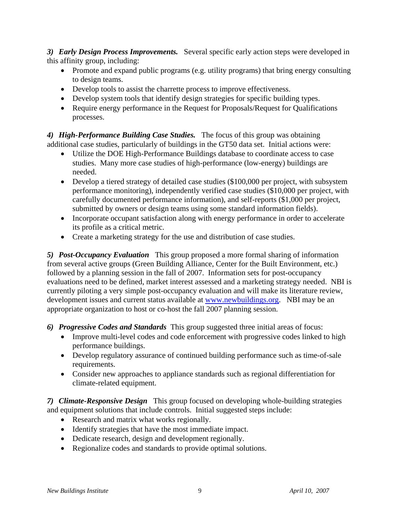*3) Early Design Process Improvements.* Several specific early action steps were developed in this affinity group, including:

- Promote and expand public programs (e.g. utility programs) that bring energy consulting to design teams.
- Develop tools to assist the charrette process to improve effectiveness.
- Develop system tools that identify design strategies for specific building types.
- Require energy performance in the Request for Proposals/Request for Qualifications processes.

*4) High-Performance Building Case Studies.* The focus of this group was obtaining additional case studies, particularly of buildings in the GT50 data set. Initial actions were:

- Utilize the DOE High-Performance Buildings database to coordinate access to case studies. Many more case studies of high-performance (low-energy) buildings are needed.
- Develop a tiered strategy of detailed case studies (\$100,000 per project, with subsystem performance monitoring), independently verified case studies (\$10,000 per project, with carefully documented performance information), and self-reports (\$1,000 per project, submitted by owners or design teams using some standard information fields).
- Incorporate occupant satisfaction along with energy performance in order to accelerate its profile as a critical metric.
- Create a marketing strategy for the use and distribution of case studies.

*5) Post-Occupancy Evaluation* This group proposed a more formal sharing of information from several active groups (Green Building Alliance, Center for the Built Environment, etc.) followed by a planning session in the fall of 2007. Information sets for post-occupancy evaluations need to be defined, market interest assessed and a marketing strategy needed. NBI is currently piloting a very simple post-occupancy evaluation and will make its literature review, development issues and current status available at www.newbuildings.org. NBI may be an appropriate organization to host or co-host the fall 2007 planning session.

- *6) Progressive Codes and Standards* This group suggested three initial areas of focus:
	- Improve multi-level codes and code enforcement with progressive codes linked to high performance buildings.
	- Develop regulatory assurance of continued building performance such as time-of-sale requirements.
	- Consider new approaches to appliance standards such as regional differentiation for climate-related equipment.

*7) Climate-Responsive Design* This group focused on developing whole-building strategies and equipment solutions that include controls. Initial suggested steps include:

- Research and matrix what works regionally.
- Identify strategies that have the most immediate impact.
- Dedicate research, design and development regionally.
- Regionalize codes and standards to provide optimal solutions.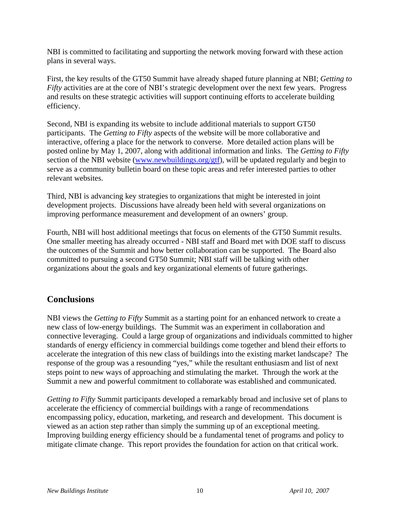NBI is committed to facilitating and supporting the network moving forward with these action plans in several ways.

First, the key results of the GT50 Summit have already shaped future planning at NBI; *Getting to Fifty* activities are at the core of NBI's strategic development over the next few years. Progress and results on these strategic activities will support continuing efforts to accelerate building efficiency.

Second, NBI is expanding its website to include additional materials to support GT50 participants. The *Getting to Fifty* aspects of the website will be more collaborative and interactive, offering a place for the network to converse. More detailed action plans will be posted online by May 1, 2007, along with additional information and links. The *Getting to Fifty* section of the NBI website (www.newbuildings.org/gtf), will be updated regularly and begin to serve as a community bulletin board on these topic areas and refer interested parties to other relevant websites.

Third, NBI is advancing key strategies to organizations that might be interested in joint development projects. Discussions have already been held with several organizations on improving performance measurement and development of an owners' group.

Fourth, NBI will host additional meetings that focus on elements of the GT50 Summit results. One smaller meeting has already occurred - NBI staff and Board met with DOE staff to discuss the outcomes of the Summit and how better collaboration can be supported. The Board also committed to pursuing a second GT50 Summit; NBI staff will be talking with other organizations about the goals and key organizational elements of future gatherings.

## **Conclusions**

NBI views the *Getting to Fifty* Summit as a starting point for an enhanced network to create a new class of low-energy buildings. The Summit was an experiment in collaboration and connective leveraging. Could a large group of organizations and individuals committed to higher standards of energy efficiency in commercial buildings come together and blend their efforts to accelerate the integration of this new class of buildings into the existing market landscape? The response of the group was a resounding "yes," while the resultant enthusiasm and list of next steps point to new ways of approaching and stimulating the market. Through the work at the Summit a new and powerful commitment to collaborate was established and communicated.

*Getting to Fifty* Summit participants developed a remarkably broad and inclusive set of plans to accelerate the efficiency of commercial buildings with a range of recommendations encompassing policy, education, marketing, and research and development. This document is viewed as an action step rather than simply the summing up of an exceptional meeting. Improving building energy efficiency should be a fundamental tenet of programs and policy to mitigate climate change. This report provides the foundation for action on that critical work.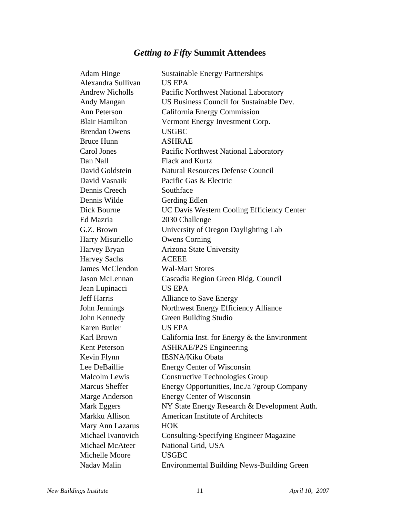# *Getting to Fifty* **Summit Attendees**

| <b>Adam Hinge</b>      | <b>Sustainable Energy Partnerships</b>            |
|------------------------|---------------------------------------------------|
| Alexandra Sullivan     | <b>US EPA</b>                                     |
| <b>Andrew Nicholls</b> | Pacific Northwest National Laboratory             |
| Andy Mangan            | US Business Council for Sustainable Dev.          |
| Ann Peterson           | California Energy Commission                      |
| <b>Blair Hamilton</b>  | Vermont Energy Investment Corp.                   |
| <b>Brendan Owens</b>   | <b>USGBC</b>                                      |
| <b>Bruce Hunn</b>      | <b>ASHRAE</b>                                     |
| Carol Jones            | Pacific Northwest National Laboratory             |
| Dan Nall               | <b>Flack and Kurtz</b>                            |
| David Goldstein        | <b>Natural Resources Defense Council</b>          |
| David Vasnaik          | Pacific Gas & Electric                            |
| Dennis Creech          | Southface                                         |
| Dennis Wilde           | Gerding Edlen                                     |
| Dick Bourne            | UC Davis Western Cooling Efficiency Center        |
| Ed Mazria              | 2030 Challenge                                    |
| G.Z. Brown             | University of Oregon Daylighting Lab              |
| Harry Misuriello       | <b>Owens Corning</b>                              |
| Harvey Bryan           | Arizona State University                          |
| <b>Harvey Sachs</b>    | <b>ACEEE</b>                                      |
| <b>James McClendon</b> | <b>Wal-Mart Stores</b>                            |
| Jason McLennan         | Cascadia Region Green Bldg. Council               |
| Jean Lupinacci         | <b>US EPA</b>                                     |
| <b>Jeff Harris</b>     | <b>Alliance to Save Energy</b>                    |
| John Jennings          | Northwest Energy Efficiency Alliance              |
| John Kennedy           | Green Building Studio                             |
| Karen Butler           | <b>US EPA</b>                                     |
| Karl Brown             | California Inst. for Energy $\&$ the Environment  |
| <b>Kent Peterson</b>   | <b>ASHRAE/P2S Engineering</b>                     |
| Kevin Flynn            | <b>IESNA/Kiku Obata</b>                           |
| Lee DeBaillie          | <b>Energy Center of Wisconsin</b>                 |
| <b>Malcolm Lewis</b>   | Constructive Technologies Group                   |
| <b>Marcus Sheffer</b>  | Energy Opportunities, Inc./a 7group Company       |
| Marge Anderson         | <b>Energy Center of Wisconsin</b>                 |
| Mark Eggers            | NY State Energy Research & Development Auth.      |
| Markku Allison         | <b>American Institute of Architects</b>           |
| Mary Ann Lazarus       | <b>HOK</b>                                        |
| Michael Ivanovich      | <b>Consulting-Specifying Engineer Magazine</b>    |
| Michael McAteer        | National Grid, USA                                |
| Michelle Moore         | <b>USGBC</b>                                      |
| Nadav Malin            | <b>Environmental Building News-Building Green</b> |